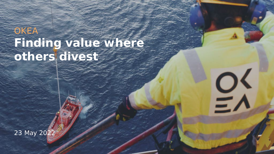## **OKEA Finding value where others divest**

23 May 2022 1

EX

23 May 202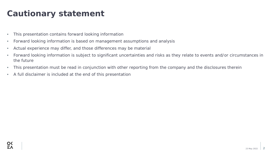## **Cautionary statement**

- This presentation contains forward looking information
- Forward looking information is based on management assumptions and analysis
- Actual experience may differ, and those differences may be material
- Forward looking information is subject to significant uncertainties and risks as they relate to events and/or circumstances in the future
- This presentation must be read in conjunction with other reporting from the company and the disclosures therein
- A full disclaimer is included at the end of this presentation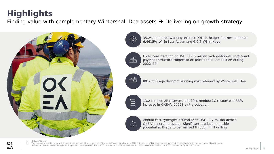## **Highlights**

Finding value with complementary Wintershall Dea assets  $\rightarrow$  Delivering on growth strategy



 $\left\{\bigcirc\right\}$ 



Fixed consideration of USD 117.5 million with additional contingent payment structure subject to oil price and oil production during 2022-24<sup>2</sup>

35.2% operated working interest (WI) in Brage; Partner-operated

6.4615% WI in Ivar Aasen and 6.0% WI in Nova



80% of Brage decommissioning cost retained by Wintershall Dea



13.2 mmboe 2P reserves and 10.6 mmboe 2C resources<sup>1</sup>; 33% increase in OKEA's 2022E exit production



Annual cost synergies estimated to USD 4–7 million across OKEA's operated assets; Significant production upside potential at Brage to be realised through infill drilling

1) OKEA estimates

 $\frac{OX}{E}$ 

2) The contingent consideration will be paid if the average oil price for each of the six half year periods during 2022-24 exceeds USD 80/bbl and the aggregated net oil production volumes exceeds certain predefined production levels. The split on the price exceeding 80 USD/bbl is 70% net after tax to Wintershall Dea and 30% to OKEA in 2022 and a 50/50 net after tax split in 2023-24.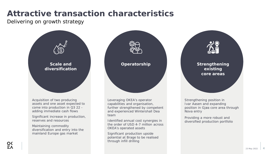## **Attractive transaction characteristics**

Delivering on growth strategy



assets and one asset expected to come into production in Q3 22 adding immediate cash flows

Significant increase in production, reserves and resources

Maintaining commodity diversification and entry into the mainland Europe gas market

capabilities and organisation, further strengthened by competent and experienced Wintershall Dea team

Identified annual cost synergies in the order of USD 4-7 million across OKEA's operated assets

Significant production upside potential at Brage to be realised through infill drilling

Ivar Aasen and expanding position in Gjøa core area through Nova entry

Providing a more robust and diversified production portfolio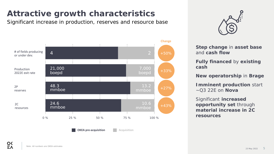## **Attractive growth characteristics**

Significant increase in production, reserves and resource base





**Step change** in **asset base** and **cash flow**

**Fully financed** by **existing cash**

**New operatorship** in **Brage**

**Imminent production** start ~Q3 22E on **Nova**

Significant **increased opportunity set** through **material increase in 2C resources**

**OKEA pre-acquisition Acquisition**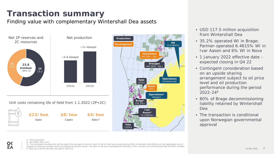## **Transaction summary**

Finding value with complementary Wintershall Dea assets



Unit costs remaining life of field from 1.1.2022 (2P+2C)

| <b>\$23/boe</b> | \$8/boe | \$4/boe           |
|-----------------|---------|-------------------|
| Opex            | Capex   | Abex <sup>2</sup> |



- USD 117.5 million acquisition from Wintershall Dea
- 35.2% operated WI in Brage; Partner-operated 6.4615% WI in Ivar Aasen and 6% WI in Nova
- 1 January 2022 effective date expected closing in Q4 22
- Contingent consideration based on an upside sharing arrangement subject to oil price level and oil production performance during the period 2022-24<sup>3</sup>
- 80% of Brage decommissioning liability retained by Wintershall Dea
- The transaction is conditional upon Norwegian governmental approval

1) Post-acquisition 2) Net OKEA after carry

3) The contingent consideration will be paid if the average oil price for each of the six half year periods during 2022-24 exceeds USD 80/bbl and the aggregated net oil production volumes exceeds certain pre-defined production levels. The split on the price exceeding 80 USD/bbl is 70% net after tax to Wintershall Dea and 30% to OKEA in 2022 and a 50/50 net after tax split in 2023-24.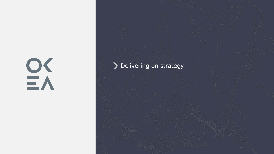# $\frac{1}{2}$

#### Delivering on strategy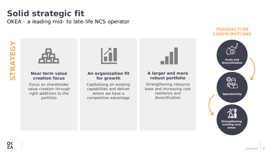### **Solid strategic fit** OKEA - a leading mid- to late-life NCS operator



**Near term value creation focus**

Focus on shareholder value creation through *right additions to the portfolio*

#### **An organisation fit for growth**

Capitalising on existing capabilities and deliver where we have a *competitive advantage*



#### **A larger and more robust portfolio**

*Strengthening resource base* and *increasing cost resilience* and *diversification*

#### **TRANSACTION CONTRIBUTIONS**

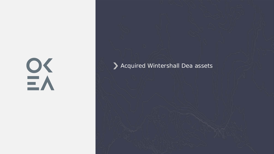# EX

#### Acquired Wintershall Dea assets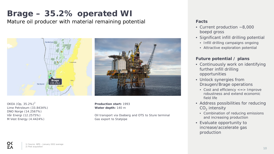## **Brage – 35.2% operated WI**

Mature oil producer with material remaining potential **Facts** Facts



OKEA (Op. 35.2%) $^{2}$ Lime Petroleum (33.8434%) DNO Norge (14.2567%) Vår Energi (12.2575%) M Vest Energy (4.4424%)

 $\frac{OX}{E}$ 

**Production start:** 1993 **Water depth:** 140 m

Oil transport via Oseberg and OTS to Sture terminal Gas export to Statpipe

- Current production ~8,000 boepd gross
- Significant infill drilling potential
	- Infill drilling campaigns ongoing
	- Attractive exploration potential

#### **Future potential / plans**

- Continuously work on identifying further infill drilling opportunities
- Unlock synergies from Draugen/Brage operations
	- Cost and efficiency <=> Improve robustness and extend economic field life
- Address possibilities for reducing  $CO<sub>2</sub>$  intensity
	- Combination of reducing emissions and increasing production
- Evaluate opportunity to increase/accelerate gas production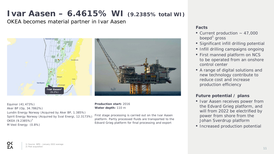## **Ivar Aasen – 6.4615% WI (9.2385% total WI)**

OKEA becomes material partner in Ivar Aasen



Equinor (41.473%) Aker BP (Op, 34.7862%) Lundin Energy Norway (Acquired by Aker BP, 1.385%) Spirit Energy Norway (Acquired by Sval Energi, 12.3173%) OKEA  $(9.2385\%)^2$ M Vest Energy (0.8%)

**Production start:** 2016 **Water depth:** 110 m

First stage processing is carried out on the Ivar Aasen platform. Partly processed fluids are transported to the Edvard Grieg platform for final processing and export

#### **Facts**

- Current production  $\sim$  47,000 boepd<sup>1</sup> gross
- Significant infill drilling potential
- Infill drilling campaigns ongoing
- First manned platform on NCS to be operated from an onshore control center
- A range of digital solutions and new technology contribute to reduce cost and increase production efficiency

#### **Future potential / plans**

- Ivar Aasen receives power from the Edvard Grieg platform, and will from 2022 be electrified by power from shore from the Johan Sverdrup platform
- Increased production potential

 $\frac{OX}{E}$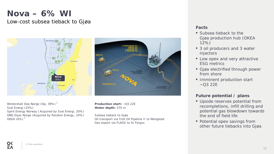### **Nova – 6% WI**

#### Low-cost subsea tieback to Gjøa



Wintershall Dea Norge (Op, 39%) $<sup>1</sup>$ </sup> Sval Energi (25%) Spirit Energy Norway ( Acquired by Sval Energi, 20%) ONE-Dyas Norge (Acquired by Pandion Energy, 10%) OKEA  $(6%)$ <sup>1</sup>

**Production start:** ~Q3 22E **Water depth:** 370 m

Subsea tieback to Gjøa Oil transport via Troll Oil Pipeline II to Mongstad Gas export via FLAGS to St Fergus

#### **Facts**

- Subsea tieback to the Gjøa production hub (OKEA 12%)
- 3 oil producers and 3 water injectors
- Low opex and very attractive ESG metrics
- Gjøa electrified through power from shore
- Imminent production start  $-O3$  22E

#### **Future potential / plans**

- Upside reserves potential from recompletions, infill drilling and potential gas blowdown towards the end of field life
- Potential opex savings from other future tiebacks into Gjøa

 $\frac{OX}{E}$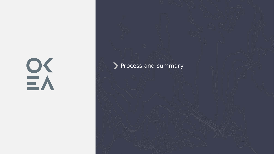# EX

#### Process and summary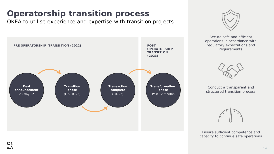## **Operatorship transition process**

OKEA to utilise experience and expertise with transition projects





Secure safe and efficient operations in accordance with regulatory expectations and requirements



Conduct a transparent and structured transition process



Ensure sufficient competence and capacity to continue safe operations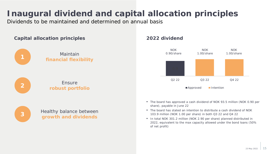## **Inaugural dividend and capital allocation principles**

Dividends to be maintained and determined on annual basis

#### **Capital allocation principles**



Maintain **financial flexibility**



#### Ensure **robust portfolio**



Healthy balance between **growth and dividends**

#### **2022 dividend**



- The board has approved a cash dividend of NOK 93.5 million (NOK 0.90 per share), payable in June 22
- The board has stated an intention to distribute a cash dividend of NOK 103.9 million (NOK 1.00 per share) in both Q3 22 and Q4 22
- In total NOK 301.2 million (NOK 2.90 per share) planned distributed in 2022, equivalent to the max capacity allowed under the bond loans (50% of net profit)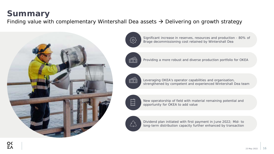## **Summary**

Finding value with complementary Wintershall Dea assets  $\rightarrow$  Delivering on growth strategy



Significant increase in reserves, resources and production - 80% of  $\{\begin{matrix} 0 \\ 0 \end{matrix}\}$ Brage decommissioning cost retained by Wintershall Dea

 $\widehat{\mathbb{C}}$ 

 $\widehat{\mathbb{C}}$ 

Leveraging OKEA's operator capabilities and organisation, strengthened by competent and experienced Wintershall Dea team

Providing a more robust and diverse production portfolio for OKEA



New operatorship of field with material remaining potential and opportunity for OKEA to add value



Dividend plan initiated with first payment in June 2022; Mid- to long-term distribution capacity further enhanced by transaction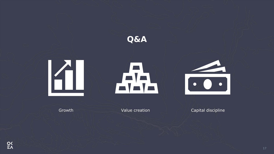

Growth Value creation Capital discipline